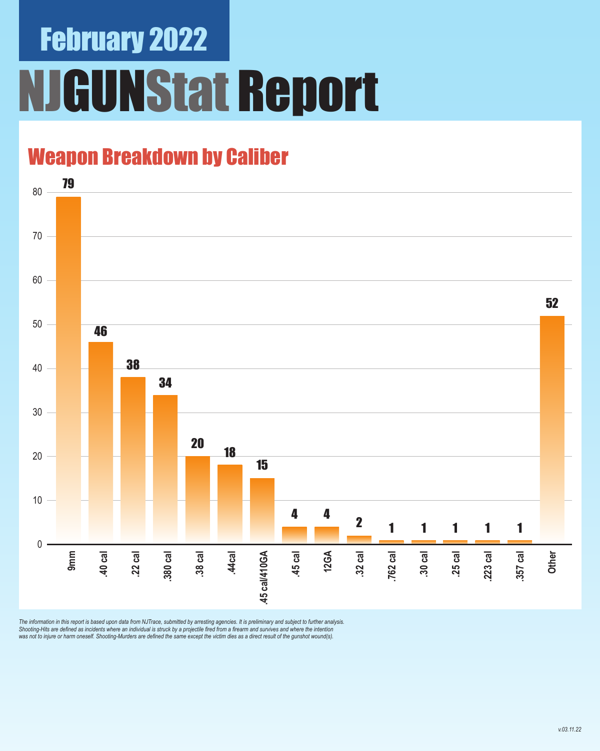## February 2022 **JGUNStat Report**

### Weapon Breakdown by Caliber



The information in this report is based upon data from NJTrace, submitted by arresting agencies. It is preliminary and subject to further analysis.<br>Shooting-Hits are defined as incidents where an individual is struck by a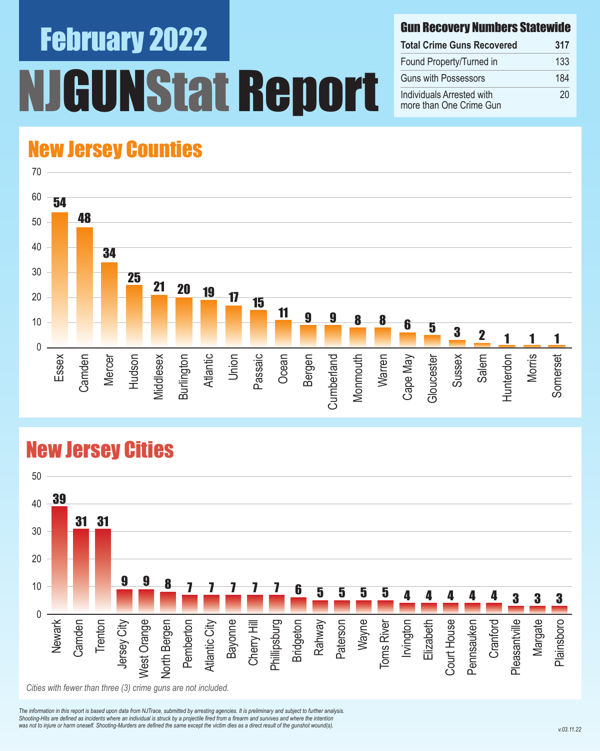# February 2022 **INStat Report**

#### Gun Recovery Numbers Statewide

| <b>Total Crime Guns Recovered</b>                    | 317 |
|------------------------------------------------------|-----|
| Found Property/Turned in                             | 133 |
| <b>Guns with Possessors</b>                          | 184 |
| Individuals Arrested with<br>more than One Crime Gun | 20  |

### New Jersey Counties



#### New Jersey Cities



*The information in this report is based upon data from NJTrace, submitted by arresting agencies. It is preliminary and subject to further analysis. Shooting-Hits are defined as incidents where an individual is struck by a projectile fired from a firearm and survives and where the intention*  was not to injure or harm oneself. Shooting-Murders are defined the same except the victim dies as a direct result of the gunshot wound(s).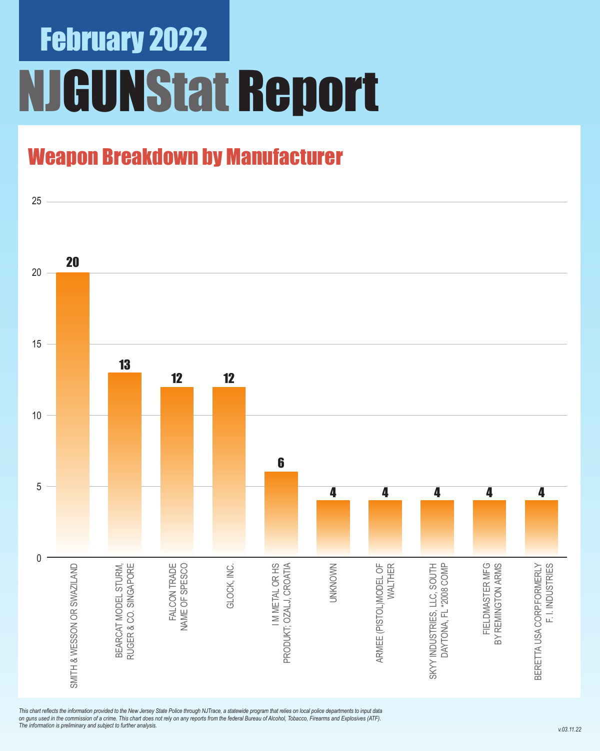## February 2022 NJGUNStat Report

### Weapon Breakdown by Manufacturer



*This chart reflects the information provided to the New Jersey State Police through NJTrace, a statewide program that relies on local police departments to input data on guns used in the commission of a crime. This chart does not rely on any reports from the federal Bureau of Alcohol, Tobacco, Firearms and Explosives (ATF). The information is preliminary and subject to further analysis.*